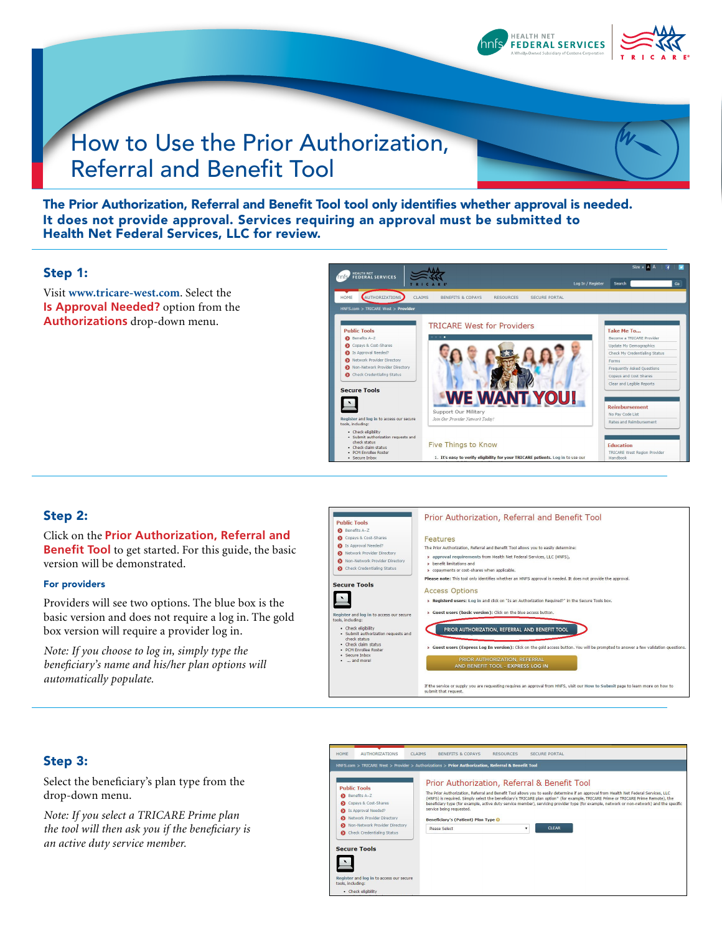

# How to Use the Prior Authorization, Referral and Benefit Tool



The Prior Authorization, Referral and Benefit Tool tool only identifies whether approval is needed. It does not provide approval. Services requiring an approval must be submitted to Health Net Federal Services, LLC for review.

#### Step 1:

Visit **www.tricare-west.com**. Select the **Is Approval Needed?** option from the **Authorizations** drop-down menu.



#### Step 2:

#### Click on the **Prior Authorization, Referral and Benefit Tool** to get started. For this guide, the basic

version will be demonstrated.

#### For providers

Providers will see two options. The blue box is the basic version and does not require a log in. The gold box version will require a provider log in.

*Note: If you choose to log in, simply type the beneficiary's name and his/her plan options will automatically populate.* 



#### Step 3:

Select the beneficiary's plan type from the drop-down menu.

*Note: If you select a TRICARE Prime plan the tool will then ask you if the beneficiary is an active duty service member.*